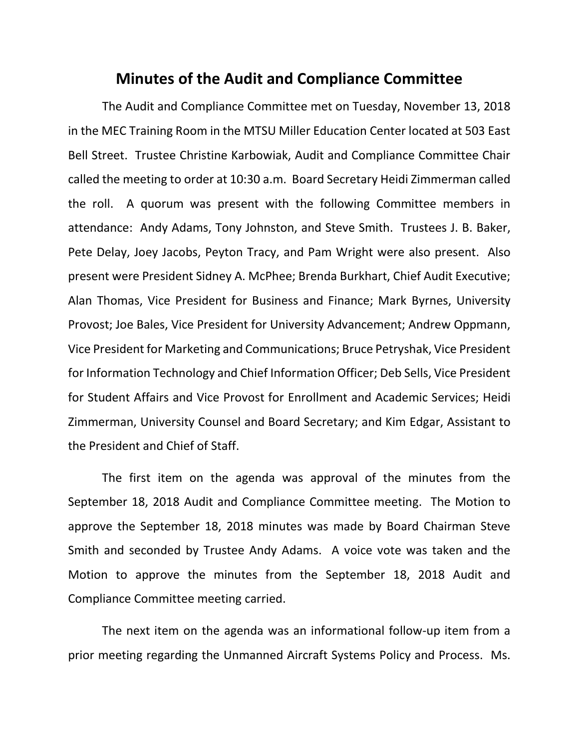## **Minutes of the Audit and Compliance Committee**

The Audit and Compliance Committee met on Tuesday, November 13, 2018 in the MEC Training Room in the MTSU Miller Education Center located at 503 East Bell Street. Trustee Christine Karbowiak, Audit and Compliance Committee Chair called the meeting to order at 10:30 a.m. Board Secretary Heidi Zimmerman called the roll. A quorum was present with the following Committee members in attendance: Andy Adams, Tony Johnston, and Steve Smith. Trustees J. B. Baker, Pete Delay, Joey Jacobs, Peyton Tracy, and Pam Wright were also present. Also present were President Sidney A. McPhee; Brenda Burkhart, Chief Audit Executive; Alan Thomas, Vice President for Business and Finance; Mark Byrnes, University Provost; Joe Bales, Vice President for University Advancement; Andrew Oppmann, Vice President for Marketing and Communications; Bruce Petryshak, Vice President for Information Technology and Chief Information Officer; Deb Sells, Vice President for Student Affairs and Vice Provost for Enrollment and Academic Services; Heidi Zimmerman, University Counsel and Board Secretary; and Kim Edgar, Assistant to the President and Chief of Staff.

The first item on the agenda was approval of the minutes from the September 18, 2018 Audit and Compliance Committee meeting. The Motion to approve the September 18, 2018 minutes was made by Board Chairman Steve Smith and seconded by Trustee Andy Adams. A voice vote was taken and the Motion to approve the minutes from the September 18, 2018 Audit and Compliance Committee meeting carried.

The next item on the agenda was an informational follow-up item from a prior meeting regarding the Unmanned Aircraft Systems Policy and Process. Ms.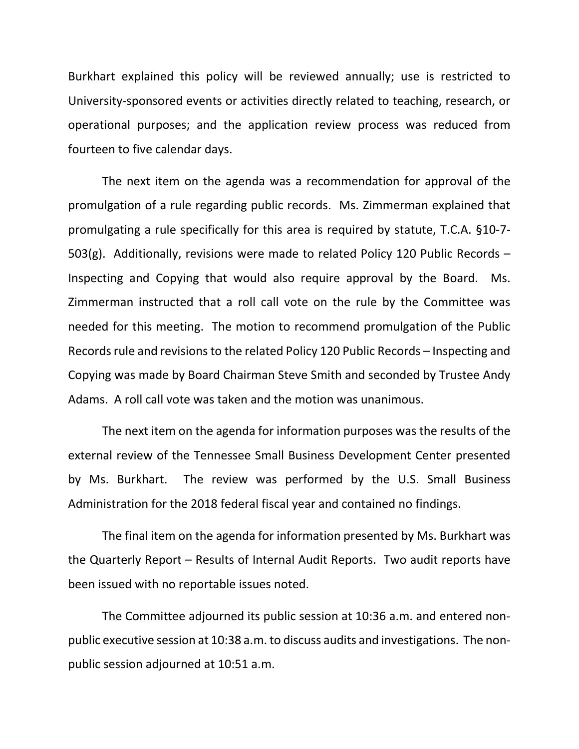Burkhart explained this policy will be reviewed annually; use is restricted to University-sponsored events or activities directly related to teaching, research, or operational purposes; and the application review process was reduced from fourteen to five calendar days.

The next item on the agenda was a recommendation for approval of the promulgation of a rule regarding public records. Ms. Zimmerman explained that promulgating a rule specifically for this area is required by statute, T.C.A. §10-7- 503(g). Additionally, revisions were made to related Policy 120 Public Records – Inspecting and Copying that would also require approval by the Board. Ms. Zimmerman instructed that a roll call vote on the rule by the Committee was needed for this meeting. The motion to recommend promulgation of the Public Records rule and revisions to the related Policy 120 Public Records – Inspecting and Copying was made by Board Chairman Steve Smith and seconded by Trustee Andy Adams. A roll call vote was taken and the motion was unanimous.

The next item on the agenda for information purposes was the results of the external review of the Tennessee Small Business Development Center presented by Ms. Burkhart. The review was performed by the U.S. Small Business Administration for the 2018 federal fiscal year and contained no findings.

The final item on the agenda for information presented by Ms. Burkhart was the Quarterly Report – Results of Internal Audit Reports. Two audit reports have been issued with no reportable issues noted.

The Committee adjourned its public session at 10:36 a.m. and entered nonpublic executive session at 10:38 a.m. to discuss audits and investigations. The nonpublic session adjourned at 10:51 a.m.